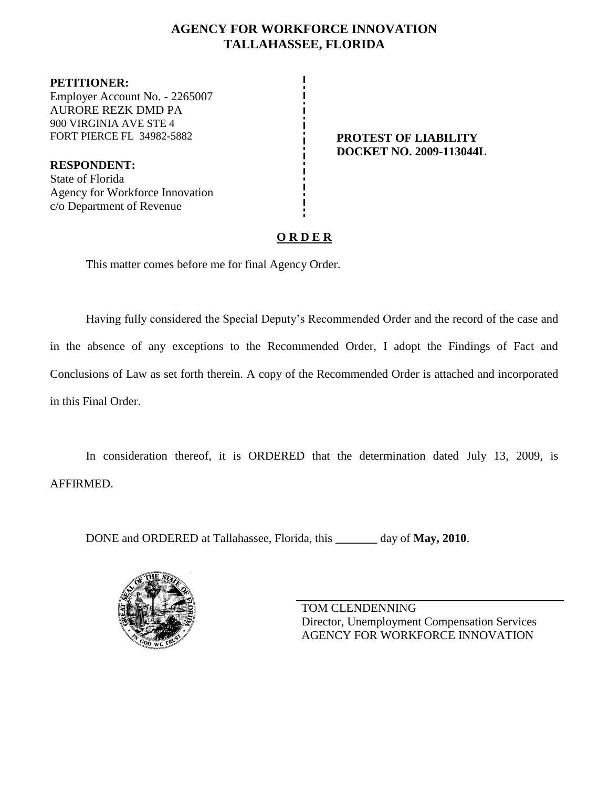## **AGENCY FOR WORKFORCE INNOVATION TALLAHASSEE, FLORIDA**

**PETITIONER:** Employer Account No. - 2265007 AURORE REZK DMD PA 900 VIRGINIA AVE STE 4 FORT PIERCE FL 34982-5882 **PROTEST OF LIABILITY** 

**RESPONDENT:** State of Florida Agency for Workforce Innovation c/o Department of Revenue

# **DOCKET NO. 2009-113044L**

# **O R D E R**

This matter comes before me for final Agency Order.

Having fully considered the Special Deputy's Recommended Order and the record of the case and in the absence of any exceptions to the Recommended Order, I adopt the Findings of Fact and Conclusions of Law as set forth therein. A copy of the Recommended Order is attached and incorporated in this Final Order.

In consideration thereof, it is ORDERED that the determination dated July 13, 2009, is AFFIRMED.

DONE and ORDERED at Tallahassee, Florida, this **\_\_\_\_\_\_\_** day of **May, 2010**.



TOM CLENDENNING Director, Unemployment Compensation Services AGENCY FOR WORKFORCE INNOVATION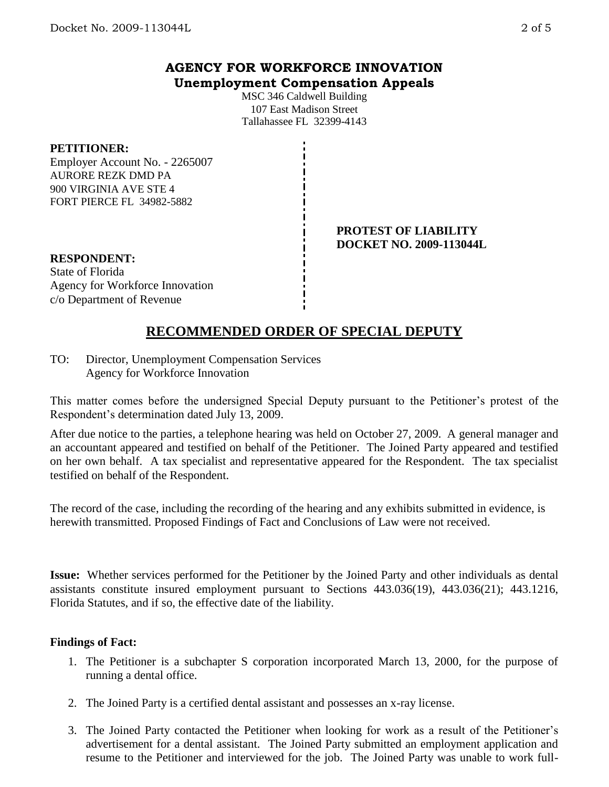## **AGENCY FOR WORKFORCE INNOVATION Unemployment Compensation Appeals**

MSC 346 Caldwell Building 107 East Madison Street Tallahassee FL 32399-4143

#### **PETITIONER:**

Employer Account No. - 2265007 AURORE REZK DMD PA 900 VIRGINIA AVE STE 4 FORT PIERCE FL 34982-5882

> **PROTEST OF LIABILITY DOCKET NO. 2009-113044L**

**RESPONDENT:** State of Florida Agency for Workforce Innovation c/o Department of Revenue

# **RECOMMENDED ORDER OF SPECIAL DEPUTY**

TO: Director, Unemployment Compensation Services Agency for Workforce Innovation

This matter comes before the undersigned Special Deputy pursuant to the Petitioner's protest of the Respondent's determination dated July 13, 2009.

After due notice to the parties, a telephone hearing was held on October 27, 2009. A general manager and an accountant appeared and testified on behalf of the Petitioner. The Joined Party appeared and testified on her own behalf. A tax specialist and representative appeared for the Respondent. The tax specialist testified on behalf of the Respondent.

The record of the case, including the recording of the hearing and any exhibits submitted in evidence, is herewith transmitted. Proposed Findings of Fact and Conclusions of Law were not received.

**Issue:** Whether services performed for the Petitioner by the Joined Party and other individuals as dental assistants constitute insured employment pursuant to Sections 443.036(19), 443.036(21); 443.1216, Florida Statutes, and if so, the effective date of the liability.

#### **Findings of Fact:**

- 1. The Petitioner is a subchapter S corporation incorporated March 13, 2000, for the purpose of running a dental office.
- 2. The Joined Party is a certified dental assistant and possesses an x-ray license.
- 3. The Joined Party contacted the Petitioner when looking for work as a result of the Petitioner's advertisement for a dental assistant. The Joined Party submitted an employment application and resume to the Petitioner and interviewed for the job. The Joined Party was unable to work full-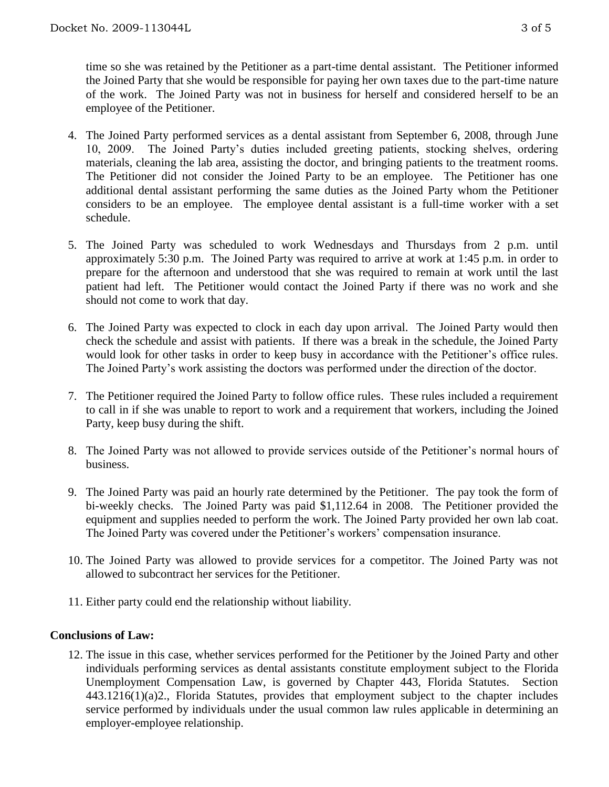time so she was retained by the Petitioner as a part-time dental assistant. The Petitioner informed the Joined Party that she would be responsible for paying her own taxes due to the part-time nature of the work. The Joined Party was not in business for herself and considered herself to be an employee of the Petitioner.

- 4. The Joined Party performed services as a dental assistant from September 6, 2008, through June 10, 2009. The Joined Party's duties included greeting patients, stocking shelves, ordering materials, cleaning the lab area, assisting the doctor, and bringing patients to the treatment rooms. The Petitioner did not consider the Joined Party to be an employee. The Petitioner has one additional dental assistant performing the same duties as the Joined Party whom the Petitioner considers to be an employee. The employee dental assistant is a full-time worker with a set schedule.
- 5. The Joined Party was scheduled to work Wednesdays and Thursdays from 2 p.m. until approximately 5:30 p.m. The Joined Party was required to arrive at work at 1:45 p.m. in order to prepare for the afternoon and understood that she was required to remain at work until the last patient had left. The Petitioner would contact the Joined Party if there was no work and she should not come to work that day.
- 6. The Joined Party was expected to clock in each day upon arrival. The Joined Party would then check the schedule and assist with patients. If there was a break in the schedule, the Joined Party would look for other tasks in order to keep busy in accordance with the Petitioner's office rules. The Joined Party's work assisting the doctors was performed under the direction of the doctor.
- 7. The Petitioner required the Joined Party to follow office rules. These rules included a requirement to call in if she was unable to report to work and a requirement that workers, including the Joined Party, keep busy during the shift.
- 8. The Joined Party was not allowed to provide services outside of the Petitioner's normal hours of business.
- 9. The Joined Party was paid an hourly rate determined by the Petitioner. The pay took the form of bi-weekly checks. The Joined Party was paid \$1,112.64 in 2008. The Petitioner provided the equipment and supplies needed to perform the work. The Joined Party provided her own lab coat. The Joined Party was covered under the Petitioner's workers' compensation insurance.
- 10. The Joined Party was allowed to provide services for a competitor. The Joined Party was not allowed to subcontract her services for the Petitioner.
- 11. Either party could end the relationship without liability.

#### **Conclusions of Law:**

12. The issue in this case, whether services performed for the Petitioner by the Joined Party and other individuals performing services as dental assistants constitute employment subject to the Florida Unemployment Compensation Law, is governed by Chapter 443, Florida Statutes. Section 443.1216(1)(a)2., Florida Statutes, provides that employment subject to the chapter includes service performed by individuals under the usual common law rules applicable in determining an employer-employee relationship.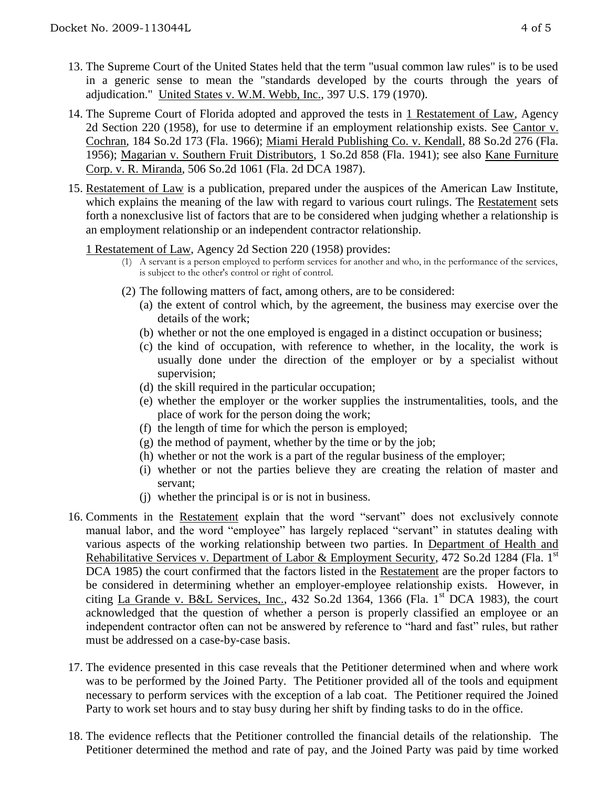- 13. The Supreme Court of the United States held that the term "usual common law rules" is to be used in a generic sense to mean the "standards developed by the courts through the years of adjudication." United States v. W.M. Webb, Inc., 397 U.S. 179 (1970).
- 14. The Supreme Court of Florida adopted and approved the tests in 1 Restatement of Law, Agency 2d Section 220 (1958), for use to determine if an employment relationship exists. See Cantor v. Cochran, 184 So.2d 173 (Fla. 1966); Miami Herald Publishing Co. v. Kendall, 88 So.2d 276 (Fla. 1956); Magarian v. Southern Fruit Distributors, 1 So.2d 858 (Fla. 1941); see also Kane Furniture Corp. v. R. Miranda, 506 So.2d 1061 (Fla. 2d DCA 1987).
- 15. Restatement of Law is a publication, prepared under the auspices of the American Law Institute, which explains the meaning of the law with regard to various court rulings. The Restatement sets forth a nonexclusive list of factors that are to be considered when judging whether a relationship is an employment relationship or an independent contractor relationship.

#### 1 Restatement of Law, Agency 2d Section 220 (1958) provides:

- (1) A servant is a person employed to perform services for another and who, in the performance of the services, is subject to the other's control or right of control.
- (2) The following matters of fact, among others, are to be considered:
	- (a) the extent of control which, by the agreement, the business may exercise over the details of the work;
	- (b) whether or not the one employed is engaged in a distinct occupation or business;
	- (c) the kind of occupation, with reference to whether, in the locality, the work is usually done under the direction of the employer or by a specialist without supervision;
	- (d) the skill required in the particular occupation;
	- (e) whether the employer or the worker supplies the instrumentalities, tools, and the place of work for the person doing the work;
	- (f) the length of time for which the person is employed;
	- $(g)$  the method of payment, whether by the time or by the job;
	- (h) whether or not the work is a part of the regular business of the employer;
	- (i) whether or not the parties believe they are creating the relation of master and servant;
	- (j) whether the principal is or is not in business.
- 16. Comments in the Restatement explain that the word "servant" does not exclusively connote manual labor, and the word "employee" has largely replaced "servant" in statutes dealing with various aspects of the working relationship between two parties. In Department of Health and Rehabilitative Services v. Department of Labor & Employment Security, 472 So.2d 1284 (Fla. 1st DCA 1985) the court confirmed that the factors listed in the Restatement are the proper factors to be considered in determining whether an employer-employee relationship exists. However, in citing La Grande v. B&L Services, Inc., 432 So.2d 1364, 1366 (Fla. 1st DCA 1983), the court acknowledged that the question of whether a person is properly classified an employee or an independent contractor often can not be answered by reference to "hard and fast" rules, but rather must be addressed on a case-by-case basis.
- 17. The evidence presented in this case reveals that the Petitioner determined when and where work was to be performed by the Joined Party. The Petitioner provided all of the tools and equipment necessary to perform services with the exception of a lab coat. The Petitioner required the Joined Party to work set hours and to stay busy during her shift by finding tasks to do in the office.
- 18. The evidence reflects that the Petitioner controlled the financial details of the relationship. The Petitioner determined the method and rate of pay, and the Joined Party was paid by time worked